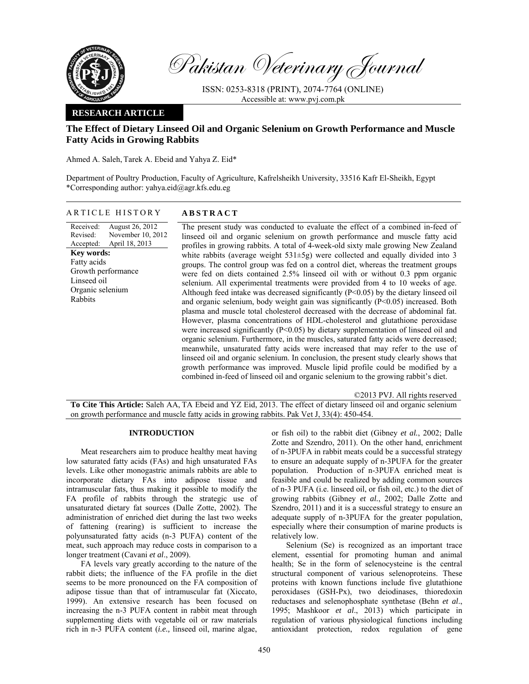

Pakistan Veterinary Journal

ISSN: 0253-8318 (PRINT), 2074-7764 (ONLINE) Accessible at: www.pvj.com.pk

## **RESEARCH ARTICLE**

# **The Effect of Dietary Linseed Oil and Organic Selenium on Growth Performance and Muscle Fatty Acids in Growing Rabbits**

Ahmed A. Saleh, Tarek A. Ebeid and Yahya Z. Eid\*

Department of Poultry Production, Faculty of Agriculture, Kafrelsheikh University, 33516 Kafr El-Sheikh, Egypt \*Corresponding author: yahya.eid@agr.kfs.edu.eg

ARTICLE HISTORY **ABSTRACT** 

Received: Revised: Accepted: August 26, 2012 November 10, 2012 April 18, 2013 **Key words:**  Fatty acids Growth performance Linseed oil Organic selenium Rabbits

 The present study was conducted to evaluate the effect of a combined in-feed of linseed oil and organic selenium on growth performance and muscle fatty acid profiles in growing rabbits. A total of 4-week-old sixty male growing New Zealand white rabbits (average weight  $531\pm 5g$ ) were collected and equally divided into 3 groups. The control group was fed on a control diet, whereas the treatment groups were fed on diets contained 2.5% linseed oil with or without 0.3 ppm organic selenium. All experimental treatments were provided from 4 to 10 weeks of age. Although feed intake was decreased significantly (P<0.05) by the dietary linseed oil and organic selenium, body weight gain was significantly (P<0.05) increased. Both plasma and muscle total cholesterol decreased with the decrease of abdominal fat. However, plasma concentrations of HDL-cholesterol and glutathione peroxidase were increased significantly (P<0.05) by dietary supplementation of linseed oil and organic selenium. Furthermore, in the muscles, saturated fatty acids were decreased; meanwhile, unsaturated fatty acids were increased that may refer to the use of linseed oil and organic selenium. In conclusion, the present study clearly shows that growth performance was improved. Muscle lipid profile could be modified by a combined in-feed of linseed oil and organic selenium to the growing rabbit's diet.

©2013 PVJ. All rights reserved

**To Cite This Article:** Saleh AA, TA Ebeid and YZ Eid, 2013. The effect of dietary linseed oil and organic selenium on growth performance and muscle fatty acids in growing rabbits. Pak Vet J, 33(4): 450-454.

### **INTRODUCTION**

Meat researchers aim to produce healthy meat having low saturated fatty acids (FAs) and high unsaturated FAs levels. Like other monogastric animals rabbits are able to incorporate dietary FAs into adipose tissue and intramuscular fats, thus making it possible to modify the FA profile of rabbits through the strategic use of unsaturated dietary fat sources (Dalle Zotte, 2002). The administration of enriched diet during the last two weeks of fattening (rearing) is sufficient to increase the polyunsaturated fatty acids (n-3 PUFA) content of the meat, such approach may reduce costs in comparison to a longer treatment (Cavani *et al*., 2009).

FA levels vary greatly according to the nature of the rabbit diets; the influence of the FA profile in the diet seems to be more pronounced on the FA composition of adipose tissue than that of intramuscular fat (Xiccato, 1999). An extensive research has been focused on increasing the n-3 PUFA content in rabbit meat through supplementing diets with vegetable oil or raw materials rich in n-3 PUFA content (*i.e.,* linseed oil, marine algae,

or fish oil) to the rabbit diet (Gibney *et al.*, 2002; Dalle Zotte and Szendro, 2011). On the other hand, enrichment of n-3PUFA in rabbit meats could be a successful strategy to ensure an adequate supply of n-3PUFA for the greater population. Production of n-3PUFA enriched meat is feasible and could be realized by adding common sources of n-3 PUFA (i.e. linseed oil, or fish oil, etc.) to the diet of growing rabbits (Gibney *et al.*, 2002; Dalle Zotte and Szendro, 2011) and it is a successful strategy to ensure an adequate supply of n-3PUFA for the greater population, especially where their consumption of marine products is relatively low.

Selenium (Se) is recognized as an important trace element, essential for promoting human and animal health; Se in the form of selenocysteine is the central structural component of various selenoproteins. These proteins with known functions include five glutathione peroxidases (GSH-Px), two deiodinases, thioredoxin reductases and selenophosphate synthetase (Behn *et al*., 1995; Mashkoor *et al*., 2013) which participate in regulation of various physiological functions including antioxidant protection, redox regulation of gene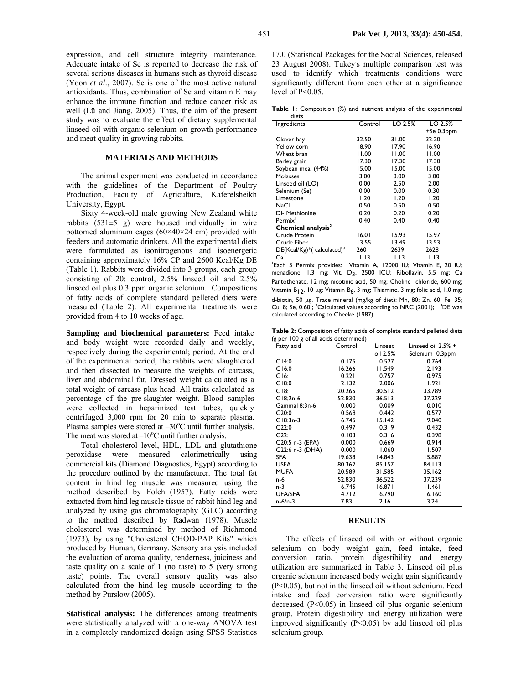expression, and cell structure integrity maintenance. Adequate intake of Se is reported to decrease the risk of several serious diseases in humans such as thyroid disease (Yoon *et al*., 2007). Se is one of the most active natural antioxidants. Thus, combination of Se and vitamin E may enhance the immune function and reduce cancer risk as well (Lü and Jiang, 2005). Thus, the aim of the present study was to evaluate the effect of dietary supplemental linseed oil with organic selenium on growth performance and meat quality in growing rabbits.

#### **MATERIALS AND METHODS**

The animal experiment was conducted in accordance with the guidelines of the Department of Poultry Production, Faculty of Agriculture, Kaferelsheikh University, Egypt.

Sixty 4-week-old male growing New Zealand white rabbits  $(531±5 \text{ g})$  were housed individually in wire bottomed aluminum cages (60×40×24 cm) provided with feeders and automatic drinkers. All the experimental diets were formulated as isonitrogenous and isoenergetic containing approximately 16% CP and 2600 Kcal/Kg DE (Table 1). Rabbits were divided into 3 groups, each group consisting of 20: control, 2.5% linseed oil and 2.5% linseed oil plus 0.3 ppm organic selenium. Compositions of fatty acids of complete standard pelleted diets were measured (Table 2). All experimental treatments were provided from 4 to 10 weeks of age.

**Sampling and biochemical parameters:** Feed intake and body weight were recorded daily and weekly, respectively during the experimental; period. At the end of the experimental period, the rabbits were slaughtered and then dissected to measure the weights of carcass, liver and abdominal fat. Dressed weight calculated as a total weight of carcass plus head. All traits calculated as percentage of the pre-slaughter weight. Blood samples were collected in heparinized test tubes, quickly centrifuged 3,000 rpm for 20 min to separate plasma. Plasma samples were stored at  $-30^{\circ}$ C until further analysis. The meat was stored at  $-10^{\circ}$ C until further analysis.

Total cholesterol level, HDL, LDL and glutathione peroxidase were measured calorimetrically using commercial kits (Diamond Diagnostics, Egypt) according to the procedure outlined by the manufacturer. The total fat content in hind leg muscle was measured using the method described by Folch (1957). Fatty acids were extracted from hind leg muscle tissue of rabbit hind leg and analyzed by using gas chromatography (GLC) according to the method described by Radwan (1978). Muscle cholesterol was determined by method of Richmond (1973), by using "Cholesterol CHOD-PAP Kits" which produced by Human, Germany. Sensory analysis included the evaluation of aroma quality, tenderness, juiciness and taste quality on a scale of 1 (no taste) to 5 (very strong taste) points. The overall sensory quality was also calculated from the hind leg muscle according to the method by Purslow (2005).

**Statistical analysis:** The differences among treatments were statistically analyzed with a one-way ANOVA test in a completely randomized design using SPSS Statistics 17.0 (Statistical Packages for the Social Sciences, released 23 August 2008). Tukey's multiple comparison test was used to identify which treatments conditions were significantly different from each other at a significance level of P<0.05.

**Table 1:** Composition (%) and nutrient analysis of the experimental diets

| Ingredients                             | Control       | LO 2.5% | LO 2.5%               |
|-----------------------------------------|---------------|---------|-----------------------|
|                                         |               |         | +Se 0.3ppm            |
| Clover hay                              | 32.50         | 31.00   | 32.20                 |
| Yellow corn                             | 18.90         | 17.90   | 16.90                 |
| Wheat bran                              | 11.00         | 11.00   | 11.00                 |
| Barley grain                            | 17.30         | 17.30   | 17.30                 |
| Soybean meal (44%)                      | 15.00         | 15.00   | 15.00                 |
| Molasses                                | 3.00          | 3.00    | 3.00                  |
| Linseed oil (LO)                        | 0.00          | 2.50    | 2.00                  |
| Selenium (Se)                           | 0.00          | 0.00    | 0.30                  |
| Limestone                               | 1.20          | 1.20    | 1.20                  |
| NaCl                                    | 0.50          | 0.50    | 0.50                  |
| DI- Methionine                          | 0.20          | 0.20    | 0.20                  |
| Permix <sup>1</sup>                     | 0.40          | 0.40    | 0.40                  |
| Chemical analysis <sup>2</sup>          |               |         |                       |
| Crude Protein                           | 16.01         | 15.93   | 15.97                 |
| Crude Fiber                             | 13.55         | 13.49   | 13.53                 |
| $DE(Kcal/Kg)*(calculated)^3$            | 2601          | 2639    | 2628                  |
| Ca                                      | 1.13          | 1.13    | 1.13                  |
| $T_{\text{Each}}$ 3<br>Permix provides: | Vitamin<br>А, | 12000   | IU: Vitamin E. 20 IU: |

menadione, 1.3 mg; Vit. D<sub>3</sub>, 2500 ICU; Riboflavin, 5.5 mg; Ca Pantothenate, 12 mg; nicotinic acid, 50 mg; Choline chloride, 600 mg; Vitamin B<sub>12</sub>, 10 µg; Vitamin B<sub>6</sub>, 3 mg; Thiamine, 3 mg; folic acid, 1.0 mg; d-biotin, 50 µg. Trace mineral (mg/kg of diet): Mn, 80; Zn, 60; Fe, 35; Cu, 8; Se, 0.60; <sup>2</sup>Calculated values according to NRC (2001); <sup>3</sup>DE was calculated according to Cheeke (1987).

**Table 2:** Composition of fatty acids of complete standard pelleted diets (g per 100 g of all acids determined)

| 19 Per 9 p. a., ac.es<br>Fatty acid | Control | Linseed  | Linseed oil $2.5%$ + |
|-------------------------------------|---------|----------|----------------------|
|                                     |         | oil 2.5% | Selenium 0.3ppm      |
| C14:0                               | 0.175   | 0.527    | 0.764                |
| C16:0                               | 16.266  | 11.549   | 12.193               |
| C16:1                               | 0.221   | 0.757    | 0.975                |
| C18:0                               | 2.132   | 2.006    | 1.921                |
| C18:1                               | 20.265  | 30.512   | 33.789               |
| $Cl8,2n-6$                          | 52.830  | 36.513   | 37.229               |
| Gamma18:3n-6                        | 0.000   | 0.009    | 0.010                |
| C20:0                               | 0.568   | 0.442    | 0.577                |
| $C18:3n-3$                          | 6.745   | 15.142   | 9.040                |
| C22:0                               | 0.497   | 0.319    | 0.432                |
| C22:1                               | 0.103   | 0.316    | 0.398                |
| C20:5 n-3 (EPA)                     | 0.000   | 0.669    | 0.914                |
| C22:6 n-3 (DHA)                     | 0.000   | 1.060    | 1.507                |
| <b>SFA</b>                          | 19.638  | 14.843   | 15.887               |
| <b>USFA</b>                         | 80.362  | 85.157   | 84.113               |
| <b>MUFA</b>                         | 20.589  | 31.585   | 35.162               |
| n-6                                 | 52.830  | 36.522   | 37.239               |
| n-3                                 | 6.745   | 16.871   | 11.461               |
| <b>UFA/SFA</b>                      | 4.712   | 6.790    | 6.160                |
| $n-6/n-3$                           | 7.83    | 2.16     | 3.24                 |

#### **RESULTS**

The effects of linseed oil with or without organic selenium on body weight gain, feed intake, feed conversion ratio, protein digestibility and energy utilization are summarized in Table 3. Linseed oil plus organic selenium increased body weight gain significantly (P<0.05), but not in the linseed oil without selenium. Feed intake and feed conversion ratio were significantly decreased (P<0.05) in linseed oil plus organic selenium group. Protein digestibility and energy utilization were improved significantly (P<0.05) by add linseed oil plus selenium group.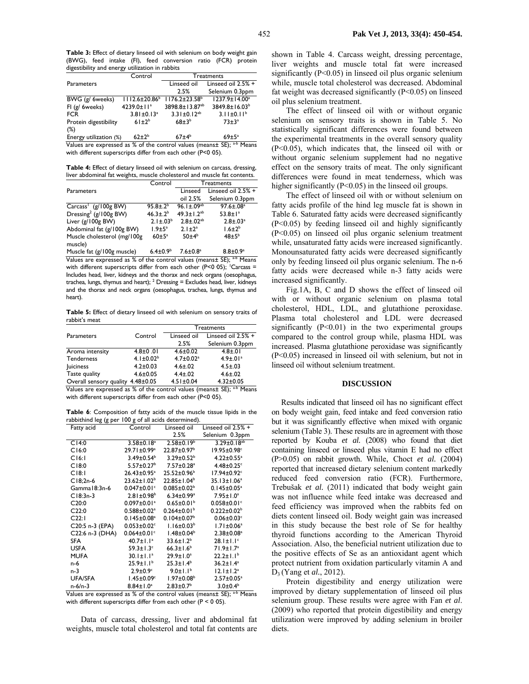**Table 3:** Effect of dietary linseed oil with selenium on body weight gain (BWG), feed intake (FI), feed conversion ratio (FCR) protein digestibility and energy utilization in rabbits

| Control                            | Treatments                 |                                                                              |
|------------------------------------|----------------------------|------------------------------------------------------------------------------|
|                                    | Linseed oil                | Linseed oil $2.5%$ +                                                         |
|                                    | 2.5%                       | Selenium 0.3ppm                                                              |
| $1112.6 \pm 20.86^b$               | $1176.2 \pm 23.58^{\circ}$ | 1237.9±14.00 <sup>a</sup>                                                    |
| 4239.0±11 <sup>a</sup>             | 3898.8±13.87 <sup>ab</sup> | 3849.8±16.03 <sup>b</sup>                                                    |
| $3.81 \pm 0.13$ <sup>a</sup>       | $3.31 \pm 0.12^{ab}$       | $3.11 \pm 0.11^b$                                                            |
| $61\pm2^{b}$                       | $68 + 3^{b}$               | $73 \pm 3^a$                                                                 |
|                                    |                            |                                                                              |
| $62+2^b$<br>Energy utilization (%) | $67\pm4^b$                 | $69 \pm 5^a$                                                                 |
|                                    |                            | Voluno que expressor d no 9/ of the popular luglupe (mensent CE), 3-b Mensen |

Values are expressed as % of the control values (means $\pm$  SE); with different superscripts differ from each other (P<0 05).

**Table 4:** Effect of dietary linseed oil with selenium on carcass, dressing, liver abdominal fat weights, muscle cholesterol and muscle fat contents.

|                                        | Control            | Treatments                 |                             |
|----------------------------------------|--------------------|----------------------------|-----------------------------|
| <b>Parameters</b>                      |                    | Linseed                    | Linseed oil $2.5%$ +        |
|                                        |                    | oil 2.5%                   | Selenium 0.3ppm             |
| Carcass <sup>1</sup> (g/100g BW)       | $95.8 \pm .2^{b}$  | 96.1±.09 <sup>ab</sup>     | $97.6 \pm .08$ <sup>a</sup> |
| Dressing <sup>2</sup> (g/100g BW)      | $46.3 \pm .2^{b}$  | $49.3 \pm 1.2^{ab}$        | $53.8 \pm 1^a$              |
| Liver (g/100g BW)                      | $2.1 \pm .03^b$    | $2.8 \pm .02^{ab}$         | $2.8 \pm .03$ <sup>a</sup>  |
| Abdominal fat (g/100g BW)              | $1.9 \pm 5^a$      | $2.1 \pm 2^a$              | $1.6 \pm 2^{b}$             |
| Muscle cholesterol (mg/100g<br>muscle) | $60 \pm 5^{\circ}$ | $50\pm4^{b}$               | $48\pm5^{b}$                |
| Muscle fat (g/100g muscle)             | $6.4 \pm 0.9^b$    | $7.6 \pm 0.8$ <sup>a</sup> | $8.8 \pm 0.9^{\circ}$       |

scle fat (g/100g muscle<sub>)</sub> Values are expressed as % of the control values (means± SE); <sup>a-b</sup> Means with different superscripts differ from each other (P<0 05);  $Carcass =$ Includes head, liver, kidneys and the thorax and neck organs (oesophagus, trachea, lungs, thymus and heart);  $^2$  Dressing = Excludes head, liver, kidneys and the thorax and neck organs (oesophagus, trachea, lungs, thymus and heart).

**Table 5:** Effect of dietary linseed oil with selenium on sensory traits of rabbit's meat

|                                   |                             | Treatments                  |                            |
|-----------------------------------|-----------------------------|-----------------------------|----------------------------|
| Parameters                        | Control                     | Linseed oil                 | Linseed oil $2.5%$ +       |
|                                   |                             | 2.5%                        | Selenium 0.3ppm            |
| Aroma intensity                   | $4.8 \pm 0.01$              | $4.6 \pm 0.02$              | $4.8 \pm .01$              |
| Tenderness                        | 4.1 $\pm$ 0.02 <sup>b</sup> | $4.7 \pm 0.02$ <sup>a</sup> | $4.9 \pm .01$ <sup>a</sup> |
| <b>Juiciness</b>                  | $4.2 \pm 0.03$              | $4.6 \pm .02$               | $4.5 \pm .03$              |
| Taste quality                     | $4.6 \pm 0.05$              | $4.4 \pm .02$               | $4.6 \pm .02$              |
| Overall sensory quality 4.48±0.05 |                             | $4.51 \pm 0.04$             | $4.32 \pm 0.05$            |

Values are expressed as % of the control values (means± SE); a-b Means with different superscripts differ from each other (P<0 05).

**Table 6**: Composition of fatty acids of the muscle tissue lipids in the rabbithind leg (g per 100 g of all acids determined).

| Fatty acid      | Control                       | Linseed oil                   | Linseed oil $2.5%$ +          |
|-----------------|-------------------------------|-------------------------------|-------------------------------|
|                 |                               | 2.5%                          | Selenium 0.3ppm               |
| C14:0           | $3.58 \pm 0.18$ <sup>a</sup>  | $2.58 \pm 0.19^b$             | $3.29 \pm 0.18^{ab}$          |
| C16:0           | 29.71±0.99 <sup>a</sup>       | 22.87±0.97 <sup>b</sup>       | 19.95±0.98c                   |
| C16:1           | $3.49 \pm 0.54^b$             | 3.29±0.52 <sup>b</sup>        | $4.22 \pm 0.55$ <sup>a</sup>  |
| C18:0           | $5.57 \pm 0.27$ <sup>b</sup>  | $7.57 \pm 0.28$ <sup>a</sup>  | $4.48 \pm 0.25$ <sup>c</sup>  |
| C18:1           | $26.43 \pm 0.95$ <sup>a</sup> | $25.52 \pm 0.96^b$            | $17.94 \pm 0.92$ <sup>c</sup> |
| $Cl8:2n-6$      | 23.62±1.02 <sup>b</sup>       | $22.85 \pm 1.04^b$            | $35.13 \pm 1.06^a$            |
| Gamma 18:3n-6   | $0.047 \pm 0.01$ <sup>c</sup> | $0.085 \pm 0.02^b$            | $0.145 \pm 0.05^a$            |
| $C18:3n-3$      | $2.81 \pm 0.98^b$             | $6.34 \pm 0.99$ <sup>a</sup>  | $7.95 \pm 1.0^a$              |
| C20:0           | $0.097 \pm 0.01$ <sup>a</sup> | $0.65 \pm 0.01^b$             | $0.058 \pm 0.01$ <sup>c</sup> |
| C22:0           | $0.588 \pm 0.02$ <sup>a</sup> | $0.264 \pm 0.01$ <sup>b</sup> | $0.222 \pm 0.02^b$            |
| C22:1           | $0.145 \pm 0.08$ <sup>a</sup> | $0.104 \pm 0.07^b$            | $0.06 \pm 0.03$ <sup>c</sup>  |
| C20:5 n-3 (EPA) | $0.053 \pm 0.02$ <sup>c</sup> | $1.16 \pm 0.03^b$             | $1.71 \pm 0.06^a$             |
| C22:6 n-3 (DHA) | $0.064 \pm 0.01$ <sup>c</sup> | $1.48 \pm 0.04^b$             | $2.38 \pm 0.08$ <sup>a</sup>  |
| <b>SFA</b>      | $40.7 \pm 1.1^a$              | $33.6 \pm 1.2^b$              | $28.1 \pm 1.1$ <sup>c</sup>   |
| <b>USFA</b>     | $59.3 \pm 1.3$ <sup>c</sup>   | $66.3 \pm 1.6^b$              | $71.9 \pm 1.7^a$              |
| <b>MUFA</b>     | $30.1 \pm 1.1^a$              | $29.9 \pm 1.0^a$              | $22.2 \pm 1.1^{b}$            |
| n-6             | $25.9 \pm 1.1^b$              | $25.3 \pm 1.4^b$              | $36.2 \pm 1.4^a$              |
| n-3             | $2.9 \pm 0.9$ <sup>c</sup>    | $9.0 \pm 1.1^b$               | $12.1 \pm 1.2^a$              |
| <b>UFA/SFA</b>  | $1.45 \pm 0.09^c$             | $1.97 \pm 0.08^{\circ}$       | $2.57 \pm 0.05^a$             |
| $n-6/n-3$       | $8.84 \pm 1.0^a$              | $2.83 \pm 0.7$ <sup>b</sup>   | $3.0 \pm 0.4^b$               |

Values are expressed as % of the control values (means± SE); a-b Means with different superscripts differ from each other  $(P < 0.05)$ .

Data of carcass, dressing, liver and abdominal fat weights, muscle total cholesterol and total fat contents are

shown in Table 4. Carcass weight, dressing percentage, liver weights and muscle total fat were increased significantly  $(P<0.05)$  in linseed oil plus organic selenium while, muscle total cholesterol was decreased. Abdominal fat weight was decreased significantly (P<0.05) on linseed oil plus selenium treatment.

The effect of linseed oil with or without organic selenium on sensory traits is shown in Table 5. No statistically significant differences were found between the experimental treatments in the overall sensory quality (P<0.05), which indicates that, the linseed oil with or without organic selenium supplement had no negative effect on the sensory traits of meat. The only significant differences were found in meat tenderness, which was higher significantly (P<0.05) in the linseed oil groups.

The effect of linseed oil with or without selenium on fatty acids profile of the hind leg muscle fat is shown in Table 6. Saturated fatty acids were decreased significantly (P<0.05) by feeding linseed oil and highly significantly (P<0.05) on linseed oil plus organic selenium treatment while, unsaturated fatty acids were increased significantly. Monounsaturated fatty acids were decreased significantly only by feeding linseed oil plus organic selenium. The n-6 fatty acids were decreased while n-3 fatty acids were increased significantly.

Fig.1A, B, C and D shows the effect of linseed oil with or without organic selenium on plasma total cholesterol, HDL, LDL, and glutathione peroxidase. Plasma total cholesterol and LDL were decreased significantly  $(P<0.01)$  in the two experimental groups compared to the control group while, plasma HDL was increased. Plasma glutathione peroxidase was significantly (P<0.05) increased in linseed oil with selenium, but not in linseed oil without selenium treatment.

#### **DISCUSSION**

Results indicated that linseed oil has no significant effect on body weight gain, feed intake and feed conversion ratio but it was significantly effective when mixed with organic selenium (Table 3). These results are in agreement with those reported by Kouba *et al.* (2008) who found that diet containing linseed or linseed plus vitamin E had no effect (P>0.05) on rabbit growth. While, Choct *et al.* (2004) reported that increased dietary selenium content markedly reduced feed conversion ratio (FCR). Furthermore, Trebušak *et al.* (2011) indicated that body weight gain was not influence while feed intake was decreased and feed efficiency was improved when the rabbits fed on diets content linseed oil. Body weight gain was increased in this study because the best role of Se for healthy thyroid functions according to the American Thyroid Association. Also, the beneficial nutrient utilization due to the positive effects of Se as an antioxidant agent which protect nutrient from oxidation particularly vitamin A and D3 (Yang et *al.*, 2012).

Protein digestibility and energy utilization were improved by dietary supplementation of linseed oil plus selenium group. These results were agree with Fan *et al*. (2009) who reported that protein digestibility and energy utilization were improved by adding selenium in broiler diets.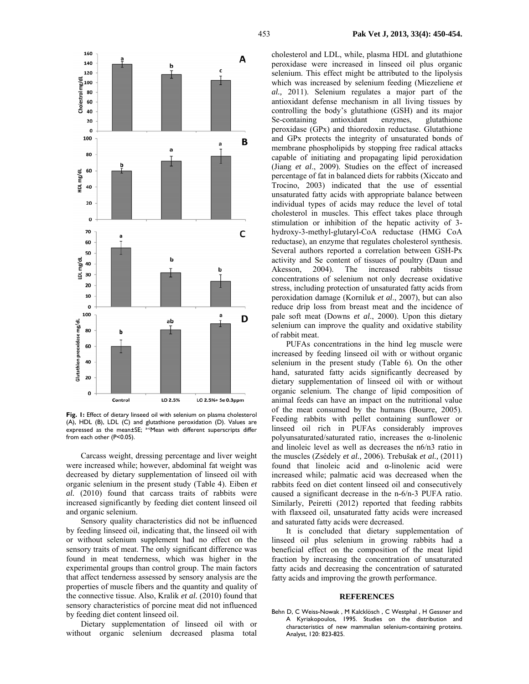

**Fig. 1:** Effect of dietary linseed oil with selenium on plasma cholesterol (A), HDL (B), LDL (C) and glutathione peroxidation (D). Values are expressed as the mean±SE; <sup>a-c</sup>Mean with different superscripts differ from each other (P<0.05).

Carcass weight, dressing percentage and liver weight were increased while; however, abdominal fat weight was decreased by dietary supplementation of linseed oil with organic selenium in the present study (Table 4). Eiben *et al.* (2010) found that carcass traits of rabbits were increased significantly by feeding diet content linseed oil and organic selenium.

Sensory quality characteristics did not be influenced by feeding linseed oil, indicating that, the linseed oil with or without selenium supplement had no effect on the sensory traits of meat. The only significant difference was found in meat tenderness, which was higher in the experimental groups than control group. The main factors that affect tenderness assessed by sensory analysis are the properties of muscle fibers and the quantity and quality of the connective tissue. Also, Kralik *et al.* (2010) found that sensory characteristics of porcine meat did not influenced by feeding diet content linseed oil.

Dietary supplementation of linseed oil with or without organic selenium decreased plasma total

cholesterol and LDL, while, plasma HDL and glutathione peroxidase were increased in linseed oil plus organic selenium. This effect might be attributed to the lipolysis which was increased by selenium feeding (Miezeliene *et al.,* 2011). Selenium regulates a major part of the antioxidant defense mechanism in all living tissues by controlling the body's glutathione (GSH) and its major Se-containing antioxidant enzymes, glutathione peroxidase (GPx) and thioredoxin reductase. Glutathione and GPx protects the integrity of unsaturated bonds of membrane phospholipids by stopping free radical attacks capable of initiating and propagating lipid peroxidation (Jiang *et al*., 2009). Studies on the effect of increased percentage of fat in balanced diets for rabbits (Xiccato and Trocino, 2003) indicated that the use of essential unsaturated fatty acids with appropriate balance between individual types of acids may reduce the level of total cholesterol in muscles. This effect takes place through stimulation or inhibition of the hepatic activity of 3 hydroxy-3-methyl-glutaryl-CoA reductase (HMG CoA reductase), an enzyme that regulates cholesterol synthesis. Several authors reported a correlation between GSH-Px activity and Se content of tissues of poultry (Daun and Akesson, 2004). The increased rabbits tissue concentrations of selenium not only decrease oxidative stress, including protection of unsaturated fatty acids from peroxidation damage (Korniluk *et al*., 2007), but can also reduce drip loss from breast meat and the incidence of pale soft meat (Downs *et al*., 2000). Upon this dietary selenium can improve the quality and oxidative stability of rabbit meat.

PUFAs concentrations in the hind leg muscle were increased by feeding linseed oil with or without organic selenium in the present study (Table 6)*.* On the other hand, saturated fatty acids significantly decreased by dietary supplementation of linseed oil with or without organic selenium. The change of lipid composition of animal feeds can have an impact on the nutritional value of the meat consumed by the humans (Bourre, 2005). Feeding rabbits with pellet containing sunflower or linseed oil rich in PUFAs considerably improves polyunsaturated/saturated ratio, increases the α-linolenic and linoleic level as well as decreases the n6/n3 ratio in the muscles (Zsédely *et al.,* 2006). Trebušak *et al.,* (2011) found that linoleic acid and α-linolenic acid were increased while; palmatic acid was decreased when the rabbits feed on diet content linseed oil and consecutively caused a significant decrease in the n-6/n-3 PUFA ratio. Similarly, Peiretti (2012) reported that feeding rabbits with flaxseed oil, unsaturated fatty acids were increased and saturated fatty acids were decreased.

It is concluded that dietary supplementation of linseed oil plus selenium in growing rabbits had a beneficial effect on the composition of the meat lipid fraction by increasing the concentration of unsaturated fatty acids and decreasing the concentration of saturated fatty acids and improving the growth performance.

#### **REFERENCES**

Behn D, C Weiss-Nowak , M Kalcklösch , C Westphal , H Gessner and A Kyriakopoulos, 1995. Studies on the distribution and characteristics of new mammalian selenium-containing proteins. Analyst, 120: 823-825.